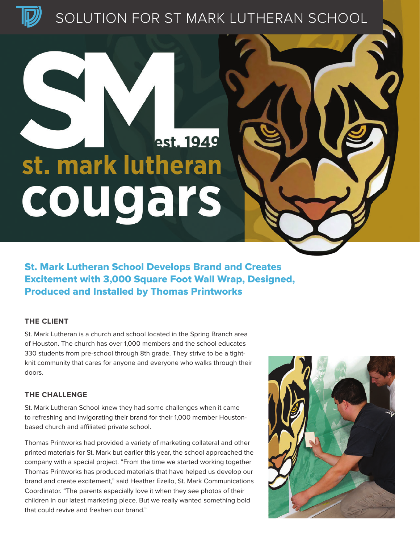SOLUTION FOR ST MARK LUTHERAN SCHOOL

# est. 1949 st. mark lutheran cougars

St. Mark Lutheran School Develops Brand and Creates Excitement with 3,000 Square Foot Wall Wrap, Designed, Produced and Installed by Thomas Printworks

## **THE CLIENT**

St. Mark Lutheran is a church and school located in the Spring Branch area of Houston. The church has over 1,000 members and the school educates 330 students from pre-school through 8th grade. They strive to be a tightknit community that cares for anyone and everyone who walks through their doors.

#### **THE CHALLENGE**

St. Mark Lutheran School knew they had some challenges when it came to refreshing and invigorating their brand for their 1,000 member Houstonbased church and affiliated private school.

Thomas Printworks had provided a variety of marketing collateral and other printed materials for St. Mark but earlier this year, the school approached the company with a special project. "From the time we started working together Thomas Printworks has produced materials that have helped us develop our brand and create excitement," said Heather Ezeilo, St. Mark Communications Coordinator. "The parents especially love it when they see photos of their children in our latest marketing piece. But we really wanted something bold that could revive and freshen our brand."